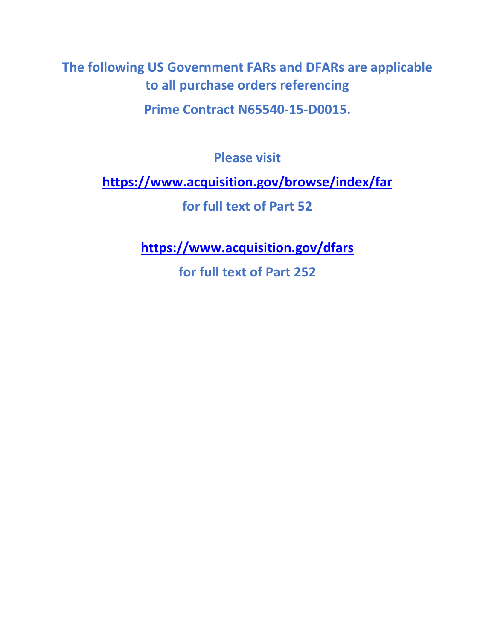**The following US Government FARs and DFARs are applicable to all purchase orders referencing Prime Contract N65540-15-D0015.**

**Please visit**

**<https://www.acquisition.gov/browse/index/far>**

**for full text of Part 52**

**<https://www.acquisition.gov/dfars>**

**for full text of Part 252**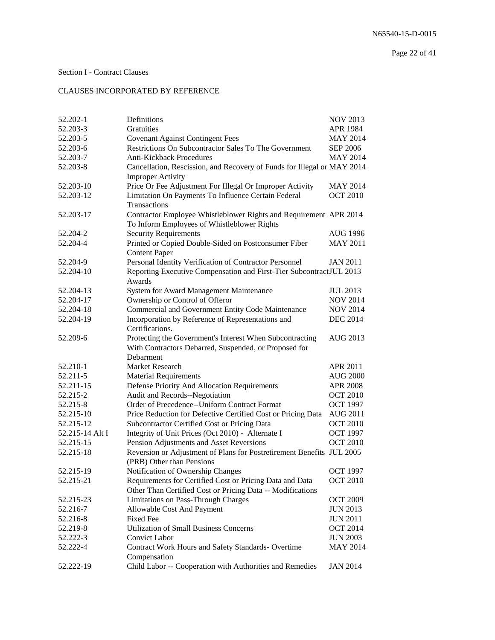# Section I - Contract Clauses

# CLAUSES INCORPORATED BY REFERENCE

| 52.202-1        | Definitions                                                             | <b>NOV 2013</b> |
|-----------------|-------------------------------------------------------------------------|-----------------|
| 52.203-3        | <b>Gratuities</b>                                                       | APR 1984        |
| 52.203-5        | <b>Covenant Against Contingent Fees</b>                                 | <b>MAY 2014</b> |
| 52.203-6        | Restrictions On Subcontractor Sales To The Government                   | <b>SEP 2006</b> |
| 52.203-7        | <b>Anti-Kickback Procedures</b>                                         | <b>MAY 2014</b> |
| 52.203-8        | Cancellation, Rescission, and Recovery of Funds for Illegal or MAY 2014 |                 |
|                 | <b>Improper Activity</b>                                                |                 |
| 52.203-10       | Price Or Fee Adjustment For Illegal Or Improper Activity                | <b>MAY 2014</b> |
| 52.203-12       | Limitation On Payments To Influence Certain Federal                     | <b>OCT 2010</b> |
|                 | <b>Transactions</b>                                                     |                 |
| 52.203-17       | Contractor Employee Whistleblower Rights and Requirement APR 2014       |                 |
|                 | To Inform Employees of Whistleblower Rights                             |                 |
| 52.204-2        | <b>Security Requirements</b>                                            | <b>AUG 1996</b> |
| 52.204-4        | Printed or Copied Double-Sided on Postconsumer Fiber                    | <b>MAY 2011</b> |
|                 | <b>Content Paper</b>                                                    |                 |
| 52.204-9        | Personal Identity Verification of Contractor Personnel                  | <b>JAN 2011</b> |
| 52.204-10       | Reporting Executive Compensation and First-Tier SubcontractJUL 2013     |                 |
|                 | Awards                                                                  |                 |
| 52.204-13       | System for Award Management Maintenance                                 | <b>JUL 2013</b> |
| 52.204-17       | Ownership or Control of Offeror                                         | <b>NOV 2014</b> |
| 52.204-18       | Commercial and Government Entity Code Maintenance                       | <b>NOV 2014</b> |
| 52.204-19       | Incorporation by Reference of Representations and                       | <b>DEC 2014</b> |
|                 | Certifications.                                                         |                 |
| 52.209-6        | Protecting the Government's Interest When Subcontracting                | <b>AUG 2013</b> |
|                 | With Contractors Debarred, Suspended, or Proposed for                   |                 |
|                 | Debarment                                                               |                 |
| 52.210-1        | Market Research                                                         | APR 2011        |
| 52.211-5        | <b>Material Requirements</b>                                            | <b>AUG 2000</b> |
| 52.211-15       | Defense Priority And Allocation Requirements                            | <b>APR 2008</b> |
| 52.215-2        | Audit and Records--Negotiation                                          | <b>OCT 2010</b> |
| 52.215-8        | Order of Precedence--Uniform Contract Format                            | <b>OCT 1997</b> |
| 52.215-10       | Price Reduction for Defective Certified Cost or Pricing Data            | <b>AUG 2011</b> |
| 52.215-12       | Subcontractor Certified Cost or Pricing Data                            | <b>OCT 2010</b> |
| 52.215-14 Alt I | Integrity of Unit Prices (Oct 2010) - Alternate I                       | <b>OCT 1997</b> |
| 52.215-15       | Pension Adjustments and Asset Reversions                                | <b>OCT 2010</b> |
| 52.215-18       | Reversion or Adjustment of Plans for Postretirement Benefits JUL 2005   |                 |
|                 | (PRB) Other than Pensions                                               |                 |
| 52.215-19       | Notification of Ownership Changes                                       | <b>OCT 1997</b> |
| 52.215-21       | Requirements for Certified Cost or Pricing Data and Data                | <b>OCT 2010</b> |
|                 | Other Than Certified Cost or Pricing Data -- Modifications              |                 |
| 52.215-23       | <b>Limitations on Pass-Through Charges</b>                              | <b>OCT 2009</b> |
| 52.216-7        | Allowable Cost And Payment                                              | <b>JUN 2013</b> |
| 52.216-8        | <b>Fixed Fee</b>                                                        | <b>JUN 2011</b> |
| 52.219-8        | <b>Utilization of Small Business Concerns</b>                           | <b>OCT 2014</b> |
| 52.222-3        | <b>Convict Labor</b>                                                    | <b>JUN 2003</b> |
| 52.222-4        | <b>Contract Work Hours and Safety Standards- Overtime</b>               | <b>MAY 2014</b> |
|                 | Compensation                                                            |                 |
| 52.222-19       | Child Labor -- Cooperation with Authorities and Remedies                | <b>JAN 2014</b> |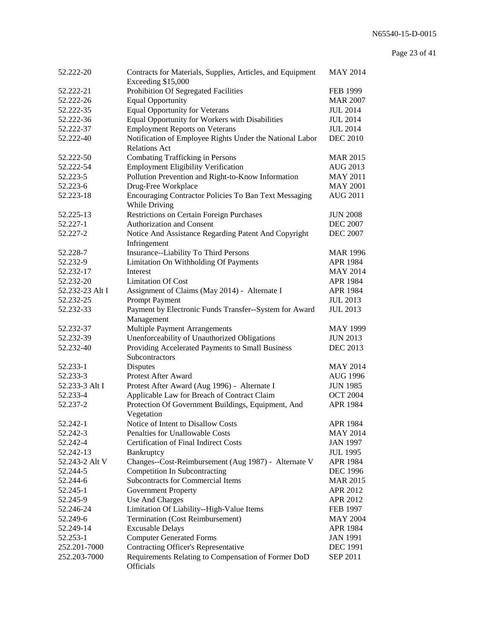# Page 23 of 41

| 52.222-20       | Contracts for Materials, Supplies, Articles, and Equipment<br>Exceeding \$15,000 | <b>MAY 2014</b> |
|-----------------|----------------------------------------------------------------------------------|-----------------|
| 52.222-21       | Prohibition Of Segregated Facilities                                             | FEB 1999        |
| 52.222-26       | <b>Equal Opportunity</b>                                                         | <b>MAR 2007</b> |
| 52.222-35       | <b>Equal Opportunity for Veterans</b>                                            | <b>JUL 2014</b> |
| 52.222-36       | Equal Opportunity for Workers with Disabilities                                  | <b>JUL 2014</b> |
| 52.222-37       | <b>Employment Reports on Veterans</b>                                            | <b>JUL 2014</b> |
| 52.222-40       | Notification of Employee Rights Under the National Labor                         | <b>DEC 2010</b> |
|                 | <b>Relations Act</b>                                                             |                 |
| 52.222-50       | Combating Trafficking in Persons                                                 | <b>MAR 2015</b> |
| 52.222-54       | <b>Employment Eligibility Verification</b>                                       | AUG 2013        |
| 52.223-5        | Pollution Prevention and Right-to-Know Information                               | <b>MAY 2011</b> |
| 52.223-6        | Drug-Free Workplace                                                              | <b>MAY 2001</b> |
| 52.223-18       | Encouraging Contractor Policies To Ban Text Messaging<br>While Driving           | <b>AUG 2011</b> |
| 52.225-13       | <b>Restrictions on Certain Foreign Purchases</b>                                 | <b>JUN 2008</b> |
| 52.227-1        | <b>Authorization and Consent</b>                                                 | <b>DEC 2007</b> |
| 52.227-2        | Notice And Assistance Regarding Patent And Copyright                             | <b>DEC 2007</b> |
|                 | Infringement                                                                     |                 |
| 52.228-7        | Insurance--Liability To Third Persons                                            | <b>MAR 1996</b> |
| 52.232-9        | Limitation On Withholding Of Payments                                            | APR 1984        |
| 52.232-17       | Interest                                                                         | <b>MAY 2014</b> |
| 52.232-20       | <b>Limitation Of Cost</b>                                                        | APR 1984        |
| 52.232-23 Alt I | Assignment of Claims (May 2014) - Alternate I                                    | APR 1984        |
| 52.232-25       | <b>Prompt Payment</b>                                                            | <b>JUL 2013</b> |
| 52.232-33       | Payment by Electronic Funds Transfer--System for Award                           | <b>JUL 2013</b> |
|                 | Management                                                                       |                 |
| 52.232-37       | Multiple Payment Arrangements                                                    | <b>MAY 1999</b> |
| 52.232-39       | Unenforceability of Unauthorized Obligations                                     | <b>JUN 2013</b> |
| 52.232-40       | Providing Accelerated Payments to Small Business<br>Subcontractors               | <b>DEC 2013</b> |
| 52.233-1        | <b>Disputes</b>                                                                  | <b>MAY 2014</b> |
| 52.233-3        | <b>Protest After Award</b>                                                       | <b>AUG 1996</b> |
| 52.233-3 Alt I  | Protest After Award (Aug 1996) - Alternate I                                     | <b>JUN 1985</b> |
| 52.233-4        | Applicable Law for Breach of Contract Claim                                      | <b>OCT 2004</b> |
| 52.237-2        | Protection Of Government Buildings, Equipment, And                               | APR 1984        |
|                 | Vegetation                                                                       |                 |
| 52.242-1        | Notice of Intent to Disallow Costs                                               | APR 1984        |
| 52.242-3        | Penalties for Unallowable Costs                                                  | <b>MAY 2014</b> |
| 52.242-4        | <b>Certification of Final Indirect Costs</b>                                     | <b>JAN 1997</b> |
| 52.242-13       | Bankruptcy                                                                       | <b>JUL 1995</b> |
| 52.243-2 Alt V  | Changes--Cost-Reimbursement (Aug 1987) - Alternate V                             | APR 1984        |
| 52.244-5        | Competition In Subcontracting                                                    | <b>DEC 1996</b> |
| 52.244-6        | <b>Subcontracts for Commercial Items</b>                                         | <b>MAR 2015</b> |
| 52.245-1        | <b>Government Property</b>                                                       | APR 2012        |
| 52.245-9        | Use And Charges                                                                  | APR 2012        |
| 52.246-24       | Limitation Of Liability--High-Value Items                                        | FEB 1997        |
| 52.249-6        | Termination (Cost Reimbursement)                                                 | <b>MAY 2004</b> |
| 52.249-14       | <b>Excusable Delays</b>                                                          | APR 1984        |
| 52.253-1        | <b>Computer Generated Forms</b>                                                  | <b>JAN 1991</b> |
| 252.201-7000    | <b>Contracting Officer's Representative</b>                                      | <b>DEC 1991</b> |
| 252.203-7000    | Requirements Relating to Compensation of Former DoD                              | SEP 2011        |
|                 | Officials                                                                        |                 |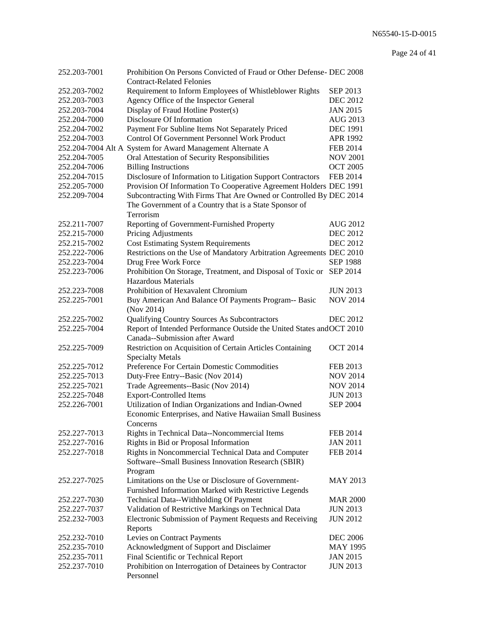# Page 24 of 41

| 252.203-7001 | Prohibition On Persons Convicted of Fraud or Other Defense- DEC 2008  |                 |
|--------------|-----------------------------------------------------------------------|-----------------|
|              | <b>Contract-Related Felonies</b>                                      |                 |
| 252.203-7002 | Requirement to Inform Employees of Whistleblower Rights               | SEP 2013        |
| 252.203-7003 | Agency Office of the Inspector General                                | <b>DEC 2012</b> |
| 252.203-7004 | Display of Fraud Hotline Poster(s)                                    | <b>JAN 2015</b> |
| 252.204-7000 | Disclosure Of Information                                             | AUG 2013        |
| 252.204-7002 | Payment For Subline Items Not Separately Priced                       | <b>DEC 1991</b> |
| 252.204-7003 | Control Of Government Personnel Work Product                          | APR 1992        |
|              | 252.204-7004 Alt A System for Award Management Alternate A            | FEB 2014        |
| 252.204-7005 | Oral Attestation of Security Responsibilities                         | <b>NOV 2001</b> |
| 252.204-7006 | <b>Billing Instructions</b>                                           | <b>OCT 2005</b> |
| 252.204-7015 | Disclosure of Information to Litigation Support Contractors           | <b>FEB 2014</b> |
| 252.205-7000 | Provision Of Information To Cooperative Agreement Holders DEC 1991    |                 |
| 252.209-7004 | Subcontracting With Firms That Are Owned or Controlled By DEC 2014    |                 |
|              | The Government of a Country that is a State Sponsor of                |                 |
|              | Terrorism                                                             |                 |
| 252.211-7007 | Reporting of Government-Furnished Property                            | <b>AUG 2012</b> |
| 252.215-7000 | Pricing Adjustments                                                   | <b>DEC 2012</b> |
| 252.215-7002 | <b>Cost Estimating System Requirements</b>                            | <b>DEC 2012</b> |
| 252.222-7006 | Restrictions on the Use of Mandatory Arbitration Agreements DEC 2010  |                 |
| 252.223-7004 | Drug Free Work Force                                                  | <b>SEP 1988</b> |
| 252.223-7006 | Prohibition On Storage, Treatment, and Disposal of Toxic or           | SEP 2014        |
|              | <b>Hazardous Materials</b>                                            |                 |
| 252.223-7008 | Prohibition of Hexavalent Chromium                                    | <b>JUN 2013</b> |
| 252.225-7001 | Buy American And Balance Of Payments Program-- Basic                  | <b>NOV 2014</b> |
|              | (Nov 2014)                                                            |                 |
| 252.225-7002 | Qualifying Country Sources As Subcontractors                          | <b>DEC 2012</b> |
| 252.225-7004 | Report of Intended Performance Outside the United States and OCT 2010 |                 |
|              | Canada--Submission after Award                                        |                 |
| 252.225-7009 | Restriction on Acquisition of Certain Articles Containing             | <b>OCT 2014</b> |
|              | <b>Specialty Metals</b>                                               |                 |
| 252.225-7012 | Preference For Certain Domestic Commodities                           | FEB 2013        |
| 252.225-7013 | Duty-Free Entry--Basic (Nov 2014)                                     | <b>NOV 2014</b> |
| 252.225-7021 | Trade Agreements--Basic (Nov 2014)                                    | <b>NOV 2014</b> |
| 252.225-7048 | <b>Export-Controlled Items</b>                                        | <b>JUN 2013</b> |
| 252.226-7001 | Utilization of Indian Organizations and Indian-Owned                  | <b>SEP 2004</b> |
|              | Economic Enterprises, and Native Hawaiian Small Business              |                 |
|              | Concerns                                                              |                 |
| 252.227-7013 | Rights in Technical Data--Noncommercial Items                         | <b>FEB 2014</b> |
| 252.227-7016 | Rights in Bid or Proposal Information                                 | <b>JAN 2011</b> |
| 252.227-7018 | Rights in Noncommercial Technical Data and Computer                   | <b>FEB 2014</b> |
|              | Software--Small Business Innovation Research (SBIR)                   |                 |
|              |                                                                       |                 |
| 252.227-7025 | Program<br>Limitations on the Use or Disclosure of Government-        | <b>MAY 2013</b> |
|              |                                                                       |                 |
|              | Furnished Information Marked with Restrictive Legends                 |                 |
| 252.227-7030 | Technical Data--Withholding Of Payment                                | <b>MAR 2000</b> |
| 252.227-7037 | Validation of Restrictive Markings on Technical Data                  | <b>JUN 2013</b> |
| 252.232-7003 | Electronic Submission of Payment Requests and Receiving               | <b>JUN 2012</b> |
|              | Reports                                                               |                 |
| 252.232-7010 | Levies on Contract Payments                                           | <b>DEC 2006</b> |
| 252.235-7010 | Acknowledgment of Support and Disclaimer                              | <b>MAY 1995</b> |
| 252.235-7011 | Final Scientific or Technical Report                                  | <b>JAN 2015</b> |
| 252.237-7010 | Prohibition on Interrogation of Detainees by Contractor               | <b>JUN 2013</b> |
|              | Personnel                                                             |                 |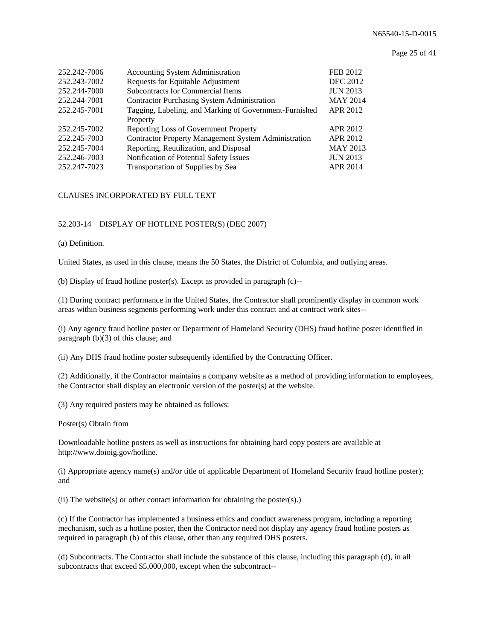Page 25 of 41

| 252.242-7006 | <b>Accounting System Administration</b>                     | <b>FEB 2012</b> |
|--------------|-------------------------------------------------------------|-----------------|
| 252.243-7002 | Requests for Equitable Adjustment                           | <b>DEC 2012</b> |
| 252.244-7000 | Subcontracts for Commercial Items                           | <b>JUN 2013</b> |
| 252.244-7001 | <b>Contractor Purchasing System Administration</b>          | <b>MAY 2014</b> |
| 252.245-7001 | Tagging, Labeling, and Marking of Government-Furnished      | APR 2012        |
|              | Property                                                    |                 |
| 252.245-7002 | Reporting Loss of Government Property                       | APR 2012        |
| 252.245-7003 | <b>Contractor Property Management System Administration</b> | APR 2012        |
| 252.245-7004 | Reporting, Reutilization, and Disposal                      | <b>MAY 2013</b> |
| 252.246-7003 | Notification of Potential Safety Issues                     | <b>JUN 2013</b> |
| 252.247-7023 | Transportation of Supplies by Sea                           | <b>APR 2014</b> |

# CLAUSES INCORPORATED BY FULL TEXT

## 52.203-14 DISPLAY OF HOTLINE POSTER(S) (DEC 2007)

(a) Definition.

United States, as used in this clause, means the 50 States, the District of Columbia, and outlying areas.

(b) Display of fraud hotline poster(s). Except as provided in paragraph (c)--

(1) During contract performance in the United States, the Contractor shall prominently display in common work areas within business segments performing work under this contract and at contract work sites--

(i) Any agency fraud hotline poster or Department of Homeland Security (DHS) fraud hotline poster identified in paragraph (b)(3) of this clause; and

(ii) Any DHS fraud hotline poster subsequently identified by the Contracting Officer.

(2) Additionally, if the Contractor maintains a company website as a method of providing information to employees, the Contractor shall display an electronic version of the poster(s) at the website.

(3) Any required posters may be obtained as follows:

Poster(s) Obtain from

Downloadable hotline posters as well as instructions for obtaining hard copy posters are available at http://www.doioig.gov/hotline.

(i) Appropriate agency name(s) and/or title of applicable Department of Homeland Security fraud hotline poster); and

(ii) The website(s) or other contact information for obtaining the poster $(s)$ .)

(c) If the Contractor has implemented a business ethics and conduct awareness program, including a reporting mechanism, such as a hotline poster, then the Contractor need not display any agency fraud hotline posters as required in paragraph (b) of this clause, other than any required DHS posters.

(d) Subcontracts. The Contractor shall include the substance of this clause, including this paragraph (d), in all subcontracts that exceed \$5,000,000, except when the subcontract--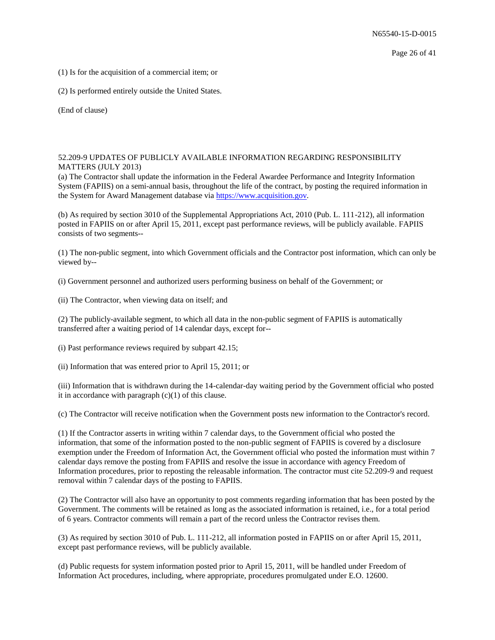Page 26 of 41

(1) Is for the acquisition of a commercial item; or

(2) Is performed entirely outside the United States.

(End of clause)

## 52.209-9 UPDATES OF PUBLICLY AVAILABLE INFORMATION REGARDING RESPONSIBILITY MATTERS (JULY 2013)

(a) The Contractor shall update the information in the Federal Awardee Performance and Integrity Information System (FAPIIS) on a semi-annual basis, throughout the life of the contract, by posting the required information in the System for Award Management database via [https://www.acquisition.gov.](https://www.acquisition.gov/)

(b) As required by section 3010 of the Supplemental Appropriations Act, 2010 (Pub. L. 111-212), all information posted in FAPIIS on or after April 15, 2011, except past performance reviews, will be publicly available. FAPIIS consists of two segments--

(1) The non-public segment, into which Government officials and the Contractor post information, which can only be viewed by--

(i) Government personnel and authorized users performing business on behalf of the Government; or

(ii) The Contractor, when viewing data on itself; and

(2) The publicly-available segment, to which all data in the non-public segment of FAPIIS is automatically transferred after a waiting period of 14 calendar days, except for--

(i) Past performance reviews required by subpart 42.15;

(ii) Information that was entered prior to April 15, 2011; or

(iii) Information that is withdrawn during the 14-calendar-day waiting period by the Government official who posted it in accordance with paragraph  $(c)(1)$  of this clause.

(c) The Contractor will receive notification when the Government posts new information to the Contractor's record.

(1) If the Contractor asserts in writing within 7 calendar days, to the Government official who posted the information, that some of the information posted to the non-public segment of FAPIIS is covered by a disclosure exemption under the Freedom of Information Act, the Government official who posted the information must within 7 calendar days remove the posting from FAPIIS and resolve the issue in accordance with agency Freedom of Information procedures, prior to reposting the releasable information. The contractor must cite 52.209-9 and request removal within 7 calendar days of the posting to FAPIIS.

(2) The Contractor will also have an opportunity to post comments regarding information that has been posted by the Government. The comments will be retained as long as the associated information is retained, i.e., for a total period of 6 years. Contractor comments will remain a part of the record unless the Contractor revises them.

(3) As required by section 3010 of Pub. L. 111-212, all information posted in FAPIIS on or after April 15, 2011, except past performance reviews, will be publicly available.

(d) Public requests for system information posted prior to April 15, 2011, will be handled under Freedom of Information Act procedures, including, where appropriate, procedures promulgated under E.O. 12600.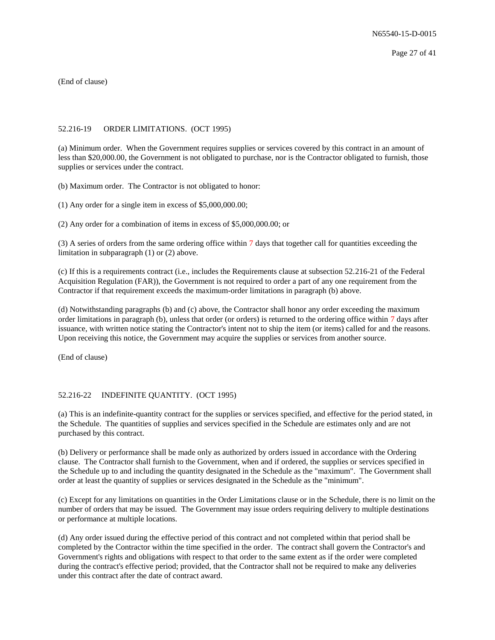(End of clause)

## 52.216-19 ORDER LIMITATIONS. (OCT 1995)

(a) Minimum order. When the Government requires supplies or services covered by this contract in an amount of less than \$20,000.00, the Government is not obligated to purchase, nor is the Contractor obligated to furnish, those supplies or services under the contract.

(b) Maximum order. The Contractor is not obligated to honor:

(1) Any order for a single item in excess of \$5,000,000.00;

(2) Any order for a combination of items in excess of \$5,000,000.00; or

(3) A series of orders from the same ordering office within 7 days that together call for quantities exceeding the limitation in subparagraph (1) or (2) above.

(c) If this is a requirements contract (i.e., includes the Requirements clause at subsection 52.216-21 of the Federal Acquisition Regulation (FAR)), the Government is not required to order a part of any one requirement from the Contractor if that requirement exceeds the maximum-order limitations in paragraph (b) above.

(d) Notwithstanding paragraphs (b) and (c) above, the Contractor shall honor any order exceeding the maximum order limitations in paragraph (b), unless that order (or orders) is returned to the ordering office within 7 days after issuance, with written notice stating the Contractor's intent not to ship the item (or items) called for and the reasons. Upon receiving this notice, the Government may acquire the supplies or services from another source.

(End of clause)

## 52.216-22 INDEFINITE QUANTITY. (OCT 1995)

(a) This is an indefinite-quantity contract for the supplies or services specified, and effective for the period stated, in the Schedule. The quantities of supplies and services specified in the Schedule are estimates only and are not purchased by this contract.

(b) Delivery or performance shall be made only as authorized by orders issued in accordance with the Ordering clause. The Contractor shall furnish to the Government, when and if ordered, the supplies or services specified in the Schedule up to and including the quantity designated in the Schedule as the "maximum". The Government shall order at least the quantity of supplies or services designated in the Schedule as the "minimum".

(c) Except for any limitations on quantities in the Order Limitations clause or in the Schedule, there is no limit on the number of orders that may be issued. The Government may issue orders requiring delivery to multiple destinations or performance at multiple locations.

(d) Any order issued during the effective period of this contract and not completed within that period shall be completed by the Contractor within the time specified in the order. The contract shall govern the Contractor's and Government's rights and obligations with respect to that order to the same extent as if the order were completed during the contract's effective period; provided, that the Contractor shall not be required to make any deliveries under this contract after the date of contract award.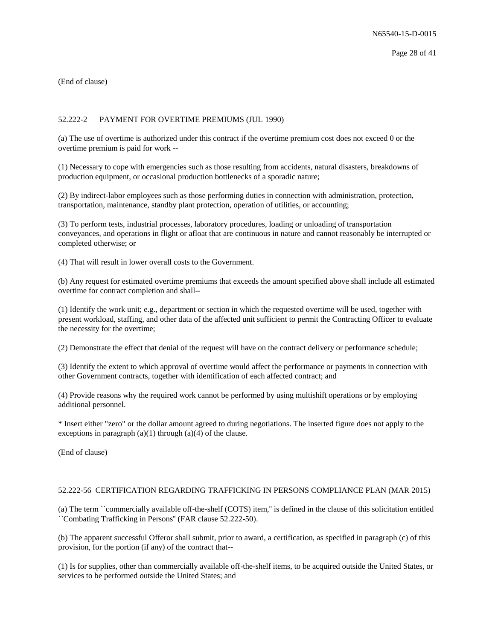(End of clause)

# 52.222-2 PAYMENT FOR OVERTIME PREMIUMS (JUL 1990)

(a) The use of overtime is authorized under this contract if the overtime premium cost does not exceed 0 or the overtime premium is paid for work --

(1) Necessary to cope with emergencies such as those resulting from accidents, natural disasters, breakdowns of production equipment, or occasional production bottlenecks of a sporadic nature;

(2) By indirect-labor employees such as those performing duties in connection with administration, protection, transportation, maintenance, standby plant protection, operation of utilities, or accounting;

(3) To perform tests, industrial processes, laboratory procedures, loading or unloading of transportation conveyances, and operations in flight or afloat that are continuous in nature and cannot reasonably be interrupted or completed otherwise; or

(4) That will result in lower overall costs to the Government.

(b) Any request for estimated overtime premiums that exceeds the amount specified above shall include all estimated overtime for contract completion and shall--

(1) Identify the work unit; e.g., department or section in which the requested overtime will be used, together with present workload, staffing, and other data of the affected unit sufficient to permit the Contracting Officer to evaluate the necessity for the overtime;

(2) Demonstrate the effect that denial of the request will have on the contract delivery or performance schedule;

(3) Identify the extent to which approval of overtime would affect the performance or payments in connection with other Government contracts, together with identification of each affected contract; and

(4) Provide reasons why the required work cannot be performed by using multishift operations or by employing additional personnel.

\* Insert either "zero" or the dollar amount agreed to during negotiations. The inserted figure does not apply to the exceptions in paragraph  $(a)(1)$  through  $(a)(4)$  of the clause.

(End of clause)

## 52.222-56 CERTIFICATION REGARDING TRAFFICKING IN PERSONS COMPLIANCE PLAN (MAR 2015)

(a) The term ``commercially available off-the-shelf (COTS) item,'' is defined in the clause of this solicitation entitled ``Combating Trafficking in Persons'' (FAR clause 52.222-50).

(b) The apparent successful Offeror shall submit, prior to award, a certification, as specified in paragraph (c) of this provision, for the portion (if any) of the contract that--

(1) Is for supplies, other than commercially available off-the-shelf items, to be acquired outside the United States, or services to be performed outside the United States; and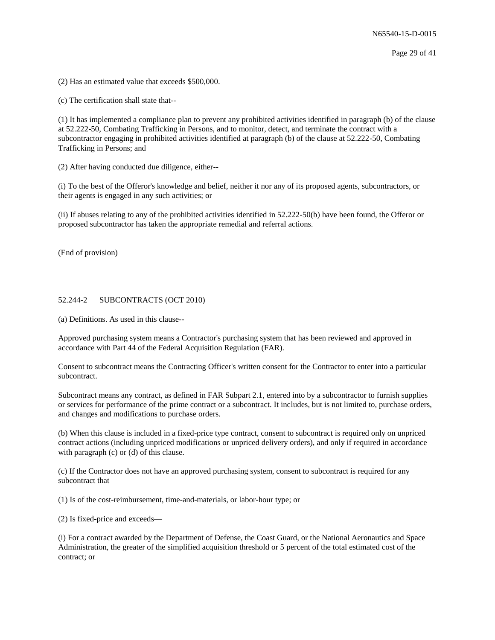Page 29 of 41

(2) Has an estimated value that exceeds \$500,000.

(c) The certification shall state that--

(1) It has implemented a compliance plan to prevent any prohibited activities identified in paragraph (b) of the clause at 52.222-50, Combating Trafficking in Persons, and to monitor, detect, and terminate the contract with a subcontractor engaging in prohibited activities identified at paragraph (b) of the clause at 52.222-50, Combating Trafficking in Persons; and

(2) After having conducted due diligence, either--

(i) To the best of the Offeror's knowledge and belief, neither it nor any of its proposed agents, subcontractors, or their agents is engaged in any such activities; or

(ii) If abuses relating to any of the prohibited activities identified in 52.222-50(b) have been found, the Offeror or proposed subcontractor has taken the appropriate remedial and referral actions.

(End of provision)

#### 52.244-2 SUBCONTRACTS (OCT 2010)

(a) Definitions. As used in this clause--

Approved purchasing system means a Contractor's purchasing system that has been reviewed and approved in accordance with Part 44 of the Federal Acquisition Regulation (FAR).

Consent to subcontract means the Contracting Officer's written consent for the Contractor to enter into a particular subcontract.

Subcontract means any contract, as defined in FAR Subpart 2.1, entered into by a subcontractor to furnish supplies or services for performance of the prime contract or a subcontract. It includes, but is not limited to, purchase orders, and changes and modifications to purchase orders.

(b) When this clause is included in a fixed-price type contract, consent to subcontract is required only on unpriced contract actions (including unpriced modifications or unpriced delivery orders), and only if required in accordance with paragraph (c) or (d) of this clause.

(c) If the Contractor does not have an approved purchasing system, consent to subcontract is required for any subcontract that—

(1) Is of the cost-reimbursement, time-and-materials, or labor-hour type; or

(2) Is fixed-price and exceeds—

(i) For a contract awarded by the Department of Defense, the Coast Guard, or the National Aeronautics and Space Administration, the greater of the simplified acquisition threshold or 5 percent of the total estimated cost of the contract; or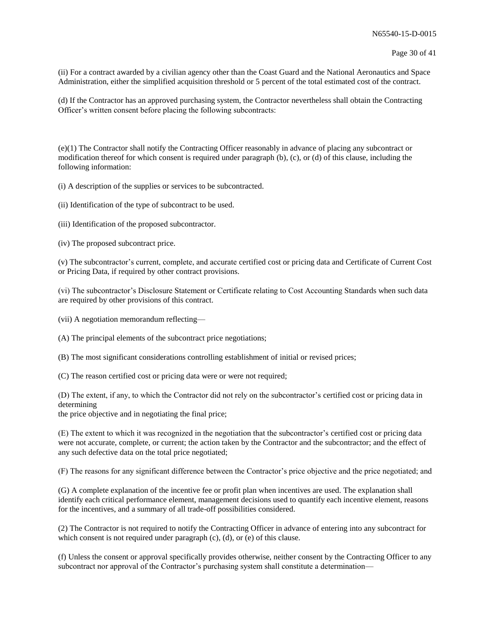(ii) For a contract awarded by a civilian agency other than the Coast Guard and the National Aeronautics and Space Administration, either the simplified acquisition threshold or 5 percent of the total estimated cost of the contract.

(d) If the Contractor has an approved purchasing system, the Contractor nevertheless shall obtain the Contracting Officer's written consent before placing the following subcontracts:

(e)(1) The Contractor shall notify the Contracting Officer reasonably in advance of placing any subcontract or modification thereof for which consent is required under paragraph (b), (c), or (d) of this clause, including the following information:

(i) A description of the supplies or services to be subcontracted.

(ii) Identification of the type of subcontract to be used.

(iii) Identification of the proposed subcontractor.

(iv) The proposed subcontract price.

(v) The subcontractor's current, complete, and accurate certified cost or pricing data and Certificate of Current Cost or Pricing Data, if required by other contract provisions.

(vi) The subcontractor's Disclosure Statement or Certificate relating to Cost Accounting Standards when such data are required by other provisions of this contract.

(vii) A negotiation memorandum reflecting—

(A) The principal elements of the subcontract price negotiations;

(B) The most significant considerations controlling establishment of initial or revised prices;

(C) The reason certified cost or pricing data were or were not required;

(D) The extent, if any, to which the Contractor did not rely on the subcontractor's certified cost or pricing data in determining

the price objective and in negotiating the final price;

(E) The extent to which it was recognized in the negotiation that the subcontractor's certified cost or pricing data were not accurate, complete, or current; the action taken by the Contractor and the subcontractor; and the effect of any such defective data on the total price negotiated;

(F) The reasons for any significant difference between the Contractor's price objective and the price negotiated; and

(G) A complete explanation of the incentive fee or profit plan when incentives are used. The explanation shall identify each critical performance element, management decisions used to quantify each incentive element, reasons for the incentives, and a summary of all trade-off possibilities considered.

(2) The Contractor is not required to notify the Contracting Officer in advance of entering into any subcontract for which consent is not required under paragraph (c), (d), or (e) of this clause.

(f) Unless the consent or approval specifically provides otherwise, neither consent by the Contracting Officer to any subcontract nor approval of the Contractor's purchasing system shall constitute a determination—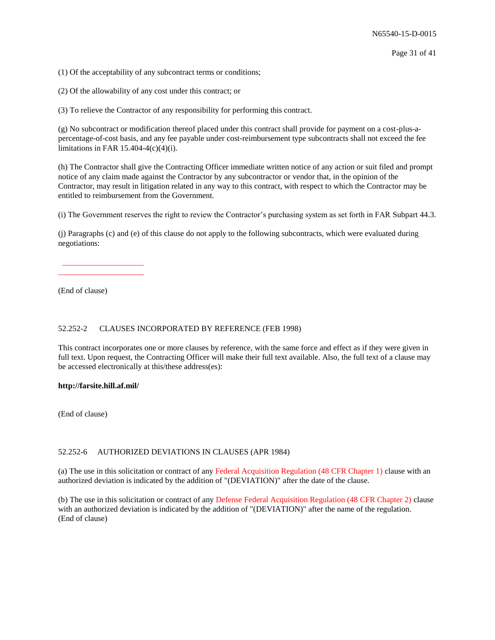Page 31 of 41

(1) Of the acceptability of any subcontract terms or conditions;

(2) Of the allowability of any cost under this contract; or

(3) To relieve the Contractor of any responsibility for performing this contract.

(g) No subcontract or modification thereof placed under this contract shall provide for payment on a cost-plus-apercentage-of-cost basis, and any fee payable under cost-reimbursement type subcontracts shall not exceed the fee limitations in FAR 15.404-4(c)(4)(i).

(h) The Contractor shall give the Contracting Officer immediate written notice of any action or suit filed and prompt notice of any claim made against the Contractor by any subcontractor or vendor that, in the opinion of the Contractor, may result in litigation related in any way to this contract, with respect to which the Contractor may be entitled to reimbursement from the Government.

(i) The Government reserves the right to review the Contractor's purchasing system as set forth in FAR Subpart 44.3.

(j) Paragraphs (c) and (e) of this clause do not apply to the following subcontracts, which were evaluated during negotiations:

(End of clause)

\_\_\_\_\_\_\_\_\_\_\_\_\_\_\_\_\_\_\_\_ \_\_\_\_\_\_\_\_\_\_\_\_\_\_\_\_\_\_\_\_\_

# 52.252-2 CLAUSES INCORPORATED BY REFERENCE (FEB 1998)

This contract incorporates one or more clauses by reference, with the same force and effect as if they were given in full text. Upon request, the Contracting Officer will make their full text available. Also, the full text of a clause may be accessed electronically at this/these address(es):

## **http://farsite.hill.af.mil/**

(End of clause)

#### 52.252-6 AUTHORIZED DEVIATIONS IN CLAUSES (APR 1984)

(a) The use in this solicitation or contract of any Federal Acquisition Regulation (48 CFR Chapter 1) clause with an authorized deviation is indicated by the addition of "(DEVIATION)" after the date of the clause.

(b) The use in this solicitation or contract of any Defense Federal Acquisition Regulation (48 CFR Chapter 2) clause with an authorized deviation is indicated by the addition of "(DEVIATION)" after the name of the regulation. (End of clause)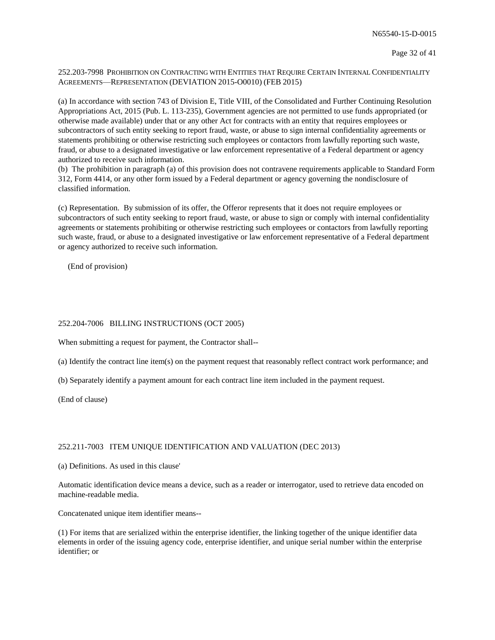252.203-7998 PROHIBITION ON CONTRACTING WITH ENTITIES THAT REQUIRE CERTAIN INTERNAL CONFIDENTIALITY AGREEMENTS—REPRESENTATION (DEVIATION 2015-O0010) (FEB 2015)

(a) In accordance with section 743 of Division E, Title VIII, of the Consolidated and Further Continuing Resolution Appropriations Act, 2015 (Pub. L. 113-235), Government agencies are not permitted to use funds appropriated (or otherwise made available) under that or any other Act for contracts with an entity that requires employees or subcontractors of such entity seeking to report fraud, waste, or abuse to sign internal confidentiality agreements or statements prohibiting or otherwise restricting such employees or contactors from lawfully reporting such waste, fraud, or abuse to a designated investigative or law enforcement representative of a Federal department or agency authorized to receive such information.

(b) The prohibition in paragraph (a) of this provision does not contravene requirements applicable to Standard Form 312, Form 4414, or any other form issued by a Federal department or agency governing the nondisclosure of classified information.

(c) Representation. By submission of its offer, the Offeror represents that it does not require employees or subcontractors of such entity seeking to report fraud, waste, or abuse to sign or comply with internal confidentiality agreements or statements prohibiting or otherwise restricting such employees or contactors from lawfully reporting such waste, fraud, or abuse to a designated investigative or law enforcement representative of a Federal department or agency authorized to receive such information.

(End of provision)

#### 252.204-7006 BILLING INSTRUCTIONS (OCT 2005)

When submitting a request for payment, the Contractor shall--

(a) Identify the contract line item(s) on the payment request that reasonably reflect contract work performance; and

(b) Separately identify a payment amount for each contract line item included in the payment request.

(End of clause)

# 252.211-7003 ITEM UNIQUE IDENTIFICATION AND VALUATION (DEC 2013)

(a) Definitions. As used in this clause'

Automatic identification device means a device, such as a reader or interrogator, used to retrieve data encoded on machine-readable media.

Concatenated unique item identifier means--

(1) For items that are serialized within the enterprise identifier, the linking together of the unique identifier data elements in order of the issuing agency code, enterprise identifier, and unique serial number within the enterprise identifier; or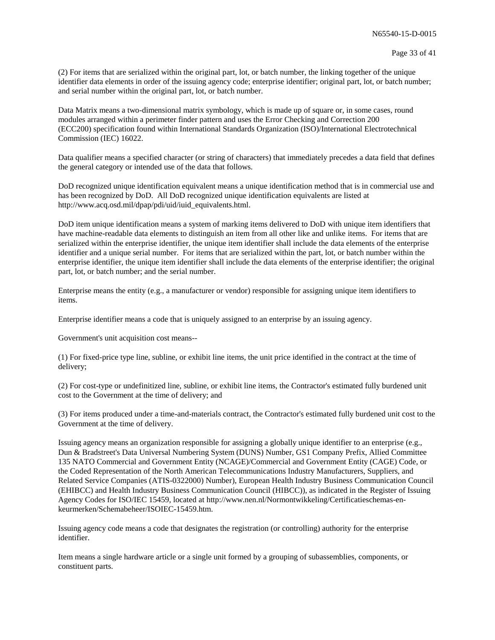(2) For items that are serialized within the original part, lot, or batch number, the linking together of the unique identifier data elements in order of the issuing agency code; enterprise identifier; original part, lot, or batch number; and serial number within the original part, lot, or batch number.

Data Matrix means a two-dimensional matrix symbology, which is made up of square or, in some cases, round modules arranged within a perimeter finder pattern and uses the Error Checking and Correction 200 (ECC200) specification found within International Standards Organization (ISO)/International Electrotechnical Commission (IEC) 16022.

Data qualifier means a specified character (or string of characters) that immediately precedes a data field that defines the general category or intended use of the data that follows.

DoD recognized unique identification equivalent means a unique identification method that is in commercial use and has been recognized by DoD. All DoD recognized unique identification equivalents are listed at http://www.acq.osd.mil/dpap/pdi/uid/iuid\_equivalents.html.

DoD item unique identification means a system of marking items delivered to DoD with unique item identifiers that have machine-readable data elements to distinguish an item from all other like and unlike items. For items that are serialized within the enterprise identifier, the unique item identifier shall include the data elements of the enterprise identifier and a unique serial number. For items that are serialized within the part, lot, or batch number within the enterprise identifier, the unique item identifier shall include the data elements of the enterprise identifier; the original part, lot, or batch number; and the serial number.

Enterprise means the entity (e.g., a manufacturer or vendor) responsible for assigning unique item identifiers to items.

Enterprise identifier means a code that is uniquely assigned to an enterprise by an issuing agency.

Government's unit acquisition cost means--

(1) For fixed-price type line, subline, or exhibit line items, the unit price identified in the contract at the time of delivery;

(2) For cost-type or undefinitized line, subline, or exhibit line items, the Contractor's estimated fully burdened unit cost to the Government at the time of delivery; and

(3) For items produced under a time-and-materials contract, the Contractor's estimated fully burdened unit cost to the Government at the time of delivery.

Issuing agency means an organization responsible for assigning a globally unique identifier to an enterprise (e.g., Dun & Bradstreet's Data Universal Numbering System (DUNS) Number, GS1 Company Prefix, Allied Committee 135 NATO Commercial and Government Entity (NCAGE)/Commercial and Government Entity (CAGE) Code, or the Coded Representation of the North American Telecommunications Industry Manufacturers, Suppliers, and Related Service Companies (ATIS-0322000) Number), European Health Industry Business Communication Council (EHIBCC) and Health Industry Business Communication Council (HIBCC)), as indicated in the Register of Issuing Agency Codes for ISO/IEC 15459, located at http://www.nen.nl/Normontwikkeling/Certificatieschemas-enkeurmerken/Schemabeheer/ISOIEC-15459.htm.

Issuing agency code means a code that designates the registration (or controlling) authority for the enterprise identifier.

Item means a single hardware article or a single unit formed by a grouping of subassemblies, components, or constituent parts.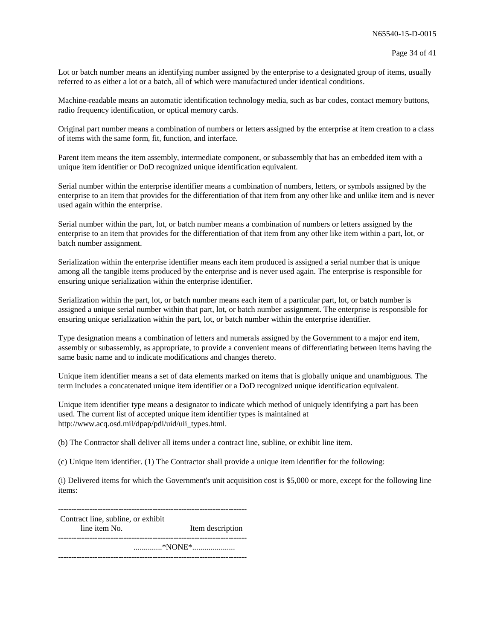Lot or batch number means an identifying number assigned by the enterprise to a designated group of items, usually referred to as either a lot or a batch, all of which were manufactured under identical conditions.

Machine-readable means an automatic identification technology media, such as bar codes, contact memory buttons, radio frequency identification, or optical memory cards.

Original part number means a combination of numbers or letters assigned by the enterprise at item creation to a class of items with the same form, fit, function, and interface.

Parent item means the item assembly, intermediate component, or subassembly that has an embedded item with a unique item identifier or DoD recognized unique identification equivalent.

Serial number within the enterprise identifier means a combination of numbers, letters, or symbols assigned by the enterprise to an item that provides for the differentiation of that item from any other like and unlike item and is never used again within the enterprise.

Serial number within the part, lot, or batch number means a combination of numbers or letters assigned by the enterprise to an item that provides for the differentiation of that item from any other like item within a part, lot, or batch number assignment.

Serialization within the enterprise identifier means each item produced is assigned a serial number that is unique among all the tangible items produced by the enterprise and is never used again. The enterprise is responsible for ensuring unique serialization within the enterprise identifier.

Serialization within the part, lot, or batch number means each item of a particular part, lot, or batch number is assigned a unique serial number within that part, lot, or batch number assignment. The enterprise is responsible for ensuring unique serialization within the part, lot, or batch number within the enterprise identifier.

Type designation means a combination of letters and numerals assigned by the Government to a major end item, assembly or subassembly, as appropriate, to provide a convenient means of differentiating between items having the same basic name and to indicate modifications and changes thereto.

Unique item identifier means a set of data elements marked on items that is globally unique and unambiguous. The term includes a concatenated unique item identifier or a DoD recognized unique identification equivalent.

Unique item identifier type means a designator to indicate which method of uniquely identifying a part has been used. The current list of accepted unique item identifier types is maintained at http://www.acq.osd.mil/dpap/pdi/uid/uii\_types.html.

(b) The Contractor shall deliver all items under a contract line, subline, or exhibit line item.

(c) Unique item identifier. (1) The Contractor shall provide a unique item identifier for the following:

(i) Delivered items for which the Government's unit acquisition cost is \$5,000 or more, except for the following line items:

------------------------------------------------------------------------ Contract line, subline, or exhibit line item No. Item description ------------------------------------------------------------------------ ..............\*NONE\*..................... ------------------------------------------------------------------------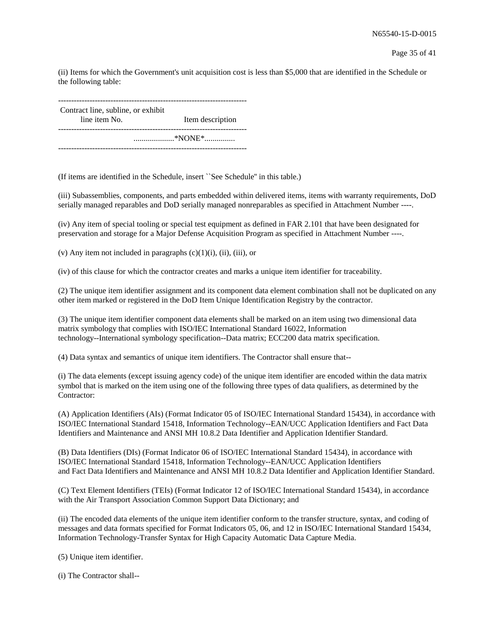(ii) Items for which the Government's unit acquisition cost is less than \$5,000 that are identified in the Schedule or the following table:

------------------------------------------------------------------------ Contract line, subline, or exhibit line item No. Item description ------------------------------------------------------------------------ ....................\*NONE\*............... ------------------------------------------------------------------------

(If items are identified in the Schedule, insert ``See Schedule'' in this table.)

(iii) Subassemblies, components, and parts embedded within delivered items, items with warranty requirements, DoD serially managed reparables and DoD serially managed nonreparables as specified in Attachment Number ----.

(iv) Any item of special tooling or special test equipment as defined in FAR 2.101 that have been designated for preservation and storage for a Major Defense Acquisition Program as specified in Attachment Number ----.

(v) Any item not included in paragraphs  $(c)(1)(i)$ ,  $(ii)$ ,  $(iii)$ , or

(iv) of this clause for which the contractor creates and marks a unique item identifier for traceability.

(2) The unique item identifier assignment and its component data element combination shall not be duplicated on any other item marked or registered in the DoD Item Unique Identification Registry by the contractor.

(3) The unique item identifier component data elements shall be marked on an item using two dimensional data matrix symbology that complies with ISO/IEC International Standard 16022, Information technology--International symbology specification--Data matrix; ECC200 data matrix specification.

(4) Data syntax and semantics of unique item identifiers. The Contractor shall ensure that--

(i) The data elements (except issuing agency code) of the unique item identifier are encoded within the data matrix symbol that is marked on the item using one of the following three types of data qualifiers, as determined by the Contractor:

(A) Application Identifiers (AIs) (Format Indicator 05 of ISO/IEC International Standard 15434), in accordance with ISO/IEC International Standard 15418, Information Technology--EAN/UCC Application Identifiers and Fact Data Identifiers and Maintenance and ANSI MH 10.8.2 Data Identifier and Application Identifier Standard.

(B) Data Identifiers (DIs) (Format Indicator 06 of ISO/IEC International Standard 15434), in accordance with ISO/IEC International Standard 15418, Information Technology--EAN/UCC Application Identifiers and Fact Data Identifiers and Maintenance and ANSI MH 10.8.2 Data Identifier and Application Identifier Standard.

(C) Text Element Identifiers (TEIs) (Format Indicator 12 of ISO/IEC International Standard 15434), in accordance with the Air Transport Association Common Support Data Dictionary; and

(ii) The encoded data elements of the unique item identifier conform to the transfer structure, syntax, and coding of messages and data formats specified for Format Indicators 05, 06, and 12 in ISO/IEC International Standard 15434, Information Technology-Transfer Syntax for High Capacity Automatic Data Capture Media.

(5) Unique item identifier.

(i) The Contractor shall--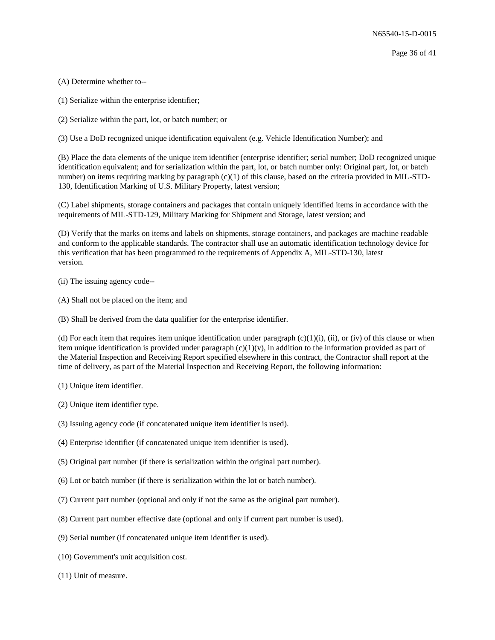Page 36 of 41

(A) Determine whether to--

(1) Serialize within the enterprise identifier;

(2) Serialize within the part, lot, or batch number; or

(3) Use a DoD recognized unique identification equivalent (e.g. Vehicle Identification Number); and

(B) Place the data elements of the unique item identifier (enterprise identifier; serial number; DoD recognized unique identification equivalent; and for serialization within the part, lot, or batch number only: Original part, lot, or batch number) on items requiring marking by paragraph (c)(1) of this clause, based on the criteria provided in MIL-STD-130, Identification Marking of U.S. Military Property, latest version;

(C) Label shipments, storage containers and packages that contain uniquely identified items in accordance with the requirements of MIL-STD-129, Military Marking for Shipment and Storage, latest version; and

(D) Verify that the marks on items and labels on shipments, storage containers, and packages are machine readable and conform to the applicable standards. The contractor shall use an automatic identification technology device for this verification that has been programmed to the requirements of Appendix A, MIL-STD-130, latest version.

(ii) The issuing agency code--

(A) Shall not be placed on the item; and

(B) Shall be derived from the data qualifier for the enterprise identifier.

(d) For each item that requires item unique identification under paragraph  $(c)(1)(i)$ , (ii), or (iv) of this clause or when item unique identification is provided under paragraph  $(c)(1)(v)$ , in addition to the information provided as part of the Material Inspection and Receiving Report specified elsewhere in this contract, the Contractor shall report at the time of delivery, as part of the Material Inspection and Receiving Report, the following information:

- (1) Unique item identifier.
- (2) Unique item identifier type.
- (3) Issuing agency code (if concatenated unique item identifier is used).

(4) Enterprise identifier (if concatenated unique item identifier is used).

- (5) Original part number (if there is serialization within the original part number).
- (6) Lot or batch number (if there is serialization within the lot or batch number).
- (7) Current part number (optional and only if not the same as the original part number).
- (8) Current part number effective date (optional and only if current part number is used).
- (9) Serial number (if concatenated unique item identifier is used).
- (10) Government's unit acquisition cost.
- (11) Unit of measure.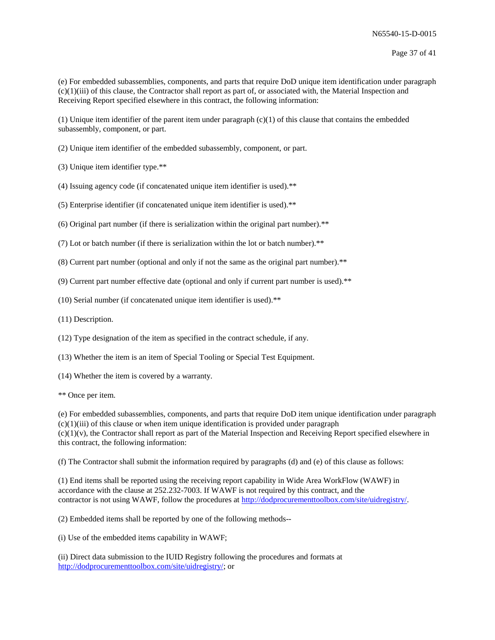(e) For embedded subassemblies, components, and parts that require DoD unique item identification under paragraph  $(c)(1)(iii)$  of this clause, the Contractor shall report as part of, or associated with, the Material Inspection and Receiving Report specified elsewhere in this contract, the following information:

(1) Unique item identifier of the parent item under paragraph  $(c)(1)$  of this clause that contains the embedded subassembly, component, or part.

- (2) Unique item identifier of the embedded subassembly, component, or part.
- (3) Unique item identifier type.\*\*
- (4) Issuing agency code (if concatenated unique item identifier is used).\*\*
- (5) Enterprise identifier (if concatenated unique item identifier is used).\*\*
- (6) Original part number (if there is serialization within the original part number).\*\*
- (7) Lot or batch number (if there is serialization within the lot or batch number).\*\*
- (8) Current part number (optional and only if not the same as the original part number).\*\*
- (9) Current part number effective date (optional and only if current part number is used).\*\*
- (10) Serial number (if concatenated unique item identifier is used).\*\*
- (11) Description.
- (12) Type designation of the item as specified in the contract schedule, if any.
- (13) Whether the item is an item of Special Tooling or Special Test Equipment.
- (14) Whether the item is covered by a warranty.
- \*\* Once per item.

(e) For embedded subassemblies, components, and parts that require DoD item unique identification under paragraph  $(c)(1)(iii)$  of this clause or when item unique identification is provided under paragraph  $(c)(1)(v)$ , the Contractor shall report as part of the Material Inspection and Receiving Report specified elsewhere in this contract, the following information:

(f) The Contractor shall submit the information required by paragraphs (d) and (e) of this clause as follows:

(1) End items shall be reported using the receiving report capability in Wide Area WorkFlow (WAWF) in accordance with the clause at 252.232-7003. If WAWF is not required by this contract, and the contractor is not using WAWF, follow the procedures at [http://dodprocurementtoolbox.com/site/uidregistry/.](http://dodprocurementtoolbox.com/site/uidregistry/)

(2) Embedded items shall be reported by one of the following methods--

(i) Use of the embedded items capability in WAWF;

(ii) Direct data submission to the IUID Registry following the procedures and formats at [http://dodprocurementtoolbox.com/site/uidregistry/;](http://dodprocurementtoolbox.com/site/uidregistry/) or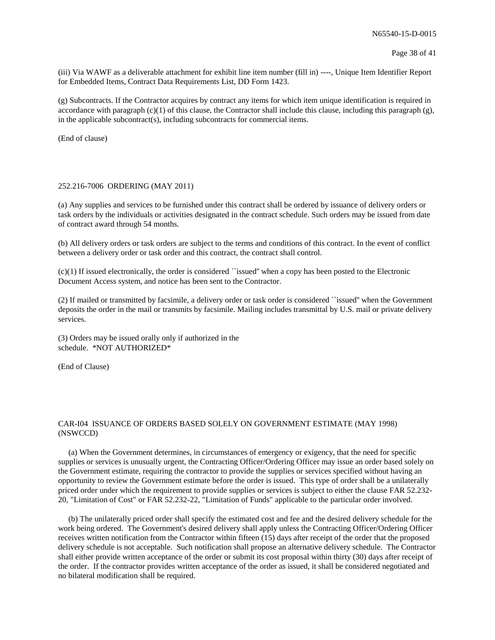(iii) Via WAWF as a deliverable attachment for exhibit line item number (fill in) ----, Unique Item Identifier Report for Embedded Items, Contract Data Requirements List, DD Form 1423.

(g) Subcontracts. If the Contractor acquires by contract any items for which item unique identification is required in accordance with paragraph  $(c)(1)$  of this clause, the Contractor shall include this clause, including this paragraph  $(g)$ , in the applicable subcontract(s), including subcontracts for commercial items.

(End of clause)

## 252.216-7006 ORDERING (MAY 2011)

(a) Any supplies and services to be furnished under this contract shall be ordered by issuance of delivery orders or task orders by the individuals or activities designated in the contract schedule. Such orders may be issued from date of contract award through 54 months.

(b) All delivery orders or task orders are subject to the terms and conditions of this contract. In the event of conflict between a delivery order or task order and this contract, the contract shall control.

 $(c)(1)$  If issued electronically, the order is considered ``issued'' when a copy has been posted to the Electronic Document Access system, and notice has been sent to the Contractor.

(2) If mailed or transmitted by facsimile, a delivery order or task order is considered ``issued'' when the Government deposits the order in the mail or transmits by facsimile. Mailing includes transmittal by U.S. mail or private delivery services.

(3) Orders may be issued orally only if authorized in the schedule. \*NOT AUTHORIZED\*

(End of Clause)

# CAR-I04 ISSUANCE OF ORDERS BASED SOLELY ON GOVERNMENT ESTIMATE (MAY 1998) (NSWCCD)

 (a) When the Government determines, in circumstances of emergency or exigency, that the need for specific supplies or services is unusually urgent, the Contracting Officer/Ordering Officer may issue an order based solely on the Government estimate, requiring the contractor to provide the supplies or services specified without having an opportunity to review the Government estimate before the order is issued. This type of order shall be a unilaterally priced order under which the requirement to provide supplies or services is subject to either the clause FAR 52.232- 20, "Limitation of Cost" or FAR 52.232-22, "Limitation of Funds" applicable to the particular order involved.

 (b) The unilaterally priced order shall specify the estimated cost and fee and the desired delivery schedule for the work being ordered. The Government's desired delivery shall apply unless the Contracting Officer/Ordering Officer receives written notification from the Contractor within fifteen (15) days after receipt of the order that the proposed delivery schedule is not acceptable. Such notification shall propose an alternative delivery schedule. The Contractor shall either provide written acceptance of the order or submit its cost proposal within thirty (30) days after receipt of the order. If the contractor provides written acceptance of the order as issued, it shall be considered negotiated and no bilateral modification shall be required.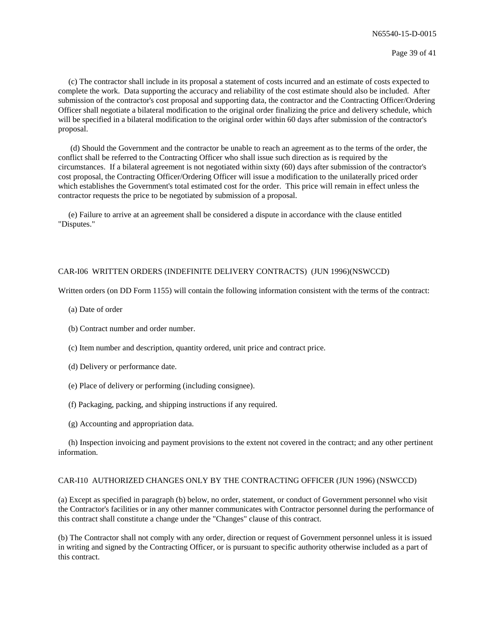(c) The contractor shall include in its proposal a statement of costs incurred and an estimate of costs expected to complete the work. Data supporting the accuracy and reliability of the cost estimate should also be included. After submission of the contractor's cost proposal and supporting data, the contractor and the Contracting Officer/Ordering Officer shall negotiate a bilateral modification to the original order finalizing the price and delivery schedule, which will be specified in a bilateral modification to the original order within 60 days after submission of the contractor's proposal.

 (d) Should the Government and the contractor be unable to reach an agreement as to the terms of the order, the conflict shall be referred to the Contracting Officer who shall issue such direction as is required by the circumstances. If a bilateral agreement is not negotiated within sixty (60) days after submission of the contractor's cost proposal, the Contracting Officer/Ordering Officer will issue a modification to the unilaterally priced order which establishes the Government's total estimated cost for the order. This price will remain in effect unless the contractor requests the price to be negotiated by submission of a proposal.

 (e) Failure to arrive at an agreement shall be considered a dispute in accordance with the clause entitled "Disputes."

### CAR-I06 WRITTEN ORDERS (INDEFINITE DELIVERY CONTRACTS) (JUN 1996)(NSWCCD)

Written orders (on DD Form 1155) will contain the following information consistent with the terms of the contract:

- (a) Date of order
- (b) Contract number and order number.
- (c) Item number and description, quantity ordered, unit price and contract price.
- (d) Delivery or performance date.
- (e) Place of delivery or performing (including consignee).
- (f) Packaging, packing, and shipping instructions if any required.
- (g) Accounting and appropriation data.

 (h) Inspection invoicing and payment provisions to the extent not covered in the contract; and any other pertinent information.

## CAR-I10 AUTHORIZED CHANGES ONLY BY THE CONTRACTING OFFICER (JUN 1996) (NSWCCD)

(a) Except as specified in paragraph (b) below, no order, statement, or conduct of Government personnel who visit the Contractor's facilities or in any other manner communicates with Contractor personnel during the performance of this contract shall constitute a change under the "Changes" clause of this contract.

(b) The Contractor shall not comply with any order, direction or request of Government personnel unless it is issued in writing and signed by the Contracting Officer, or is pursuant to specific authority otherwise included as a part of this contract.